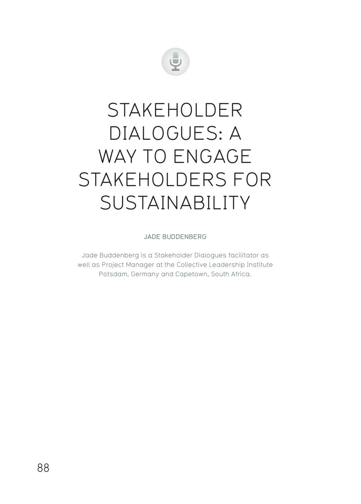

## STAKEHOLDER DIALOGUES: A WAY TO ENGAGE STAKEHOLDERS FOR SUSTAINABILITY

JADE BUDDENBERG

Jade Buddenberg is a Stakeholder Dialogues facilitator as well as Project Manager at the Collective Leadership Institute Potsdam, Germany and Capetown, South Africa.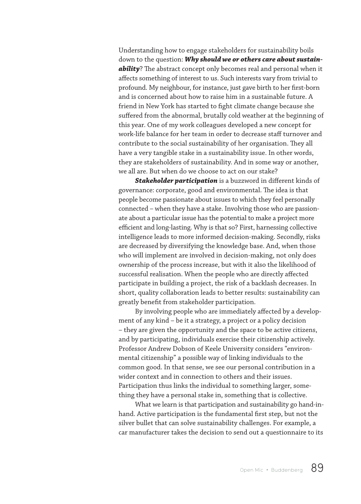Understanding how to engage stakeholders for sustainability boils down to the question: *Why should we or others care about sustainability*? The abstract concept only becomes real and personal when it affects something of interest to us. Such interests vary from trivial to profound. My neighbour, for instance, just gave birth to her first-born and is concerned about how to raise him in a sustainable future. A friend in New York has started to fight climate change because she suffered from the abnormal, brutally cold weather at the beginning of this year. One of my work colleagues developed a new concept for work-life balance for her team in order to decrease staff turnover and contribute to the social sustainability of her organisation. They all have a very tangible stake in a sustainability issue. In other words, they are stakeholders of sustainability. And in some way or another, we all are. But when do we choose to act on our stake?

*Stakeholder participation* is a buzzword in different kinds of governance: corporate, good and environmental. The idea is that people become passionate about issues to which they feel personally connected – when they have a stake. Involving those who are passionate about a particular issue has the potential to make a project more efficient and long-lasting. Why is that so? First, harnessing collective intelligence leads to more informed decision-making. Secondly, risks are decreased by diversifying the knowledge base. And, when those who will implement are involved in decision-making, not only does ownership of the process increase, but with it also the likelihood of successful realisation. When the people who are directly affected participate in building a project, the risk of a backlash decreases. In short, quality collaboration leads to better results: sustainability can greatly benefit from stakeholder participation.

By involving people who are immediately affected by a development of any kind – be it a strategy, a project or a policy decision – they are given the opportunity and the space to be active citizens, and by participating, individuals exercise their citizenship actively. Professor Andrew Dobson of Keele University considers "environmental citizenship" a possible way of linking individuals to the common good. In that sense, we see our personal contribution in a wider context and in connection to others and their issues. Participation thus links the individual to something larger, something they have a personal stake in, something that is collective.

What we learn is that participation and sustainability go hand-inhand. Active participation is the fundamental first step, but not the silver bullet that can solve sustainability challenges. For example, a car manufacturer takes the decision to send out a questionnaire to its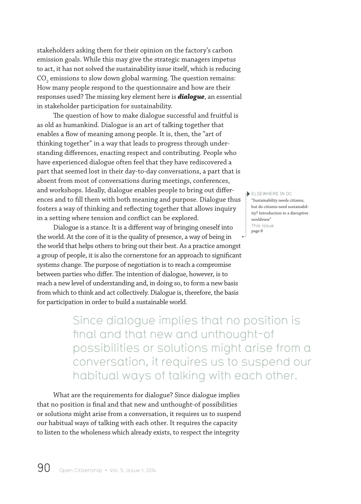stakeholders asking them for their opinion on the factory's carbon emission goals. While this may give the strategic managers impetus to act, it has not solved the sustainability issue itself, which is reducing CO<sub>2</sub> emissions to slow down global warming. The question remains: How many people respond to the questionnaire and how are their responses used? The missing key element here is *dialogue*, an essential in stakeholder participation for sustainability.

The question of how to make dialogue successful and fruitful is as old as humankind. Dialogue is an art of talking together that enables a flow of meaning among people. It is, then, the "art of thinking together" in a way that leads to progress through understanding differences, enacting respect and contributing. People who have experienced dialogue often feel that they have rediscovered a part that seemed lost in their day-to-day conversations, a part that is absent from most of conversations during meetings, conferences, and workshops. Ideally, dialogue enables people to bring out differences and to fill them with both meaning and purpose. Dialogue thus fosters a way of thinking and reflecting together that allows inquiry in a setting where tension and conflict can be explored.

Dialogue is a stance. It is a different way of bringing oneself into  $\prod_{\mathbf{0}=\mathbf{1}}^{+}$ the world. At the core of it is the quality of presence, a way of being in the world that helps others to bring out their best. As a practice amongst a group of people, it is also the cornerstone for an approach to significant systems change. The purpose of negotiation is to reach a compromise between parties who differ. The intention of dialogue, however, is to reach a new level of understanding and, in doing so, to form a new basis from which to think and act collectively. Dialogue is, therefore, the basis for participation in order to build a sustainable world.

ELSEWHERE IN OC "Sustainability needs citizens, but do citizens need sustainability? Introduction to a disruptive worldview" This issue page 8

Since dialogue implies that no position is final and that new and unthought-of possibilities or solutions might arise from a conversation, it requires us to suspend our habitual ways of talking with each other.

What are the requirements for dialogue? Since dialogue implies that no position is final and that new and unthought-of possibilities or solutions might arise from a conversation, it requires us to suspend our habitual ways of talking with each other. It requires the capacity to listen to the wholeness which already exists, to respect the integrity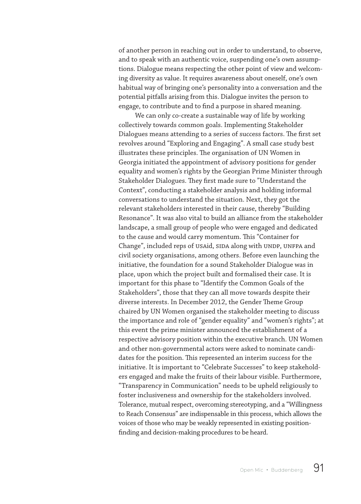of another person in reaching out in order to understand, to observe, and to speak with an authentic voice, suspending one's own assumptions. Dialogue means respecting the other point of view and welcoming diversity as value. It requires awareness about oneself, one's own habitual way of bringing one's personality into a conversation and the potential pitfalls arising from this. Dialogue invites the person to engage, to contribute and to find a purpose in shared meaning.

We can only co-create a sustainable way of life by working collectively towards common goals. Implementing Stakeholder Dialogues means attending to a series of success factors. The first set revolves around "Exploring and Engaging". A small case study best illustrates these principles. The organisation of UN Women in Georgia initiated the appointment of advisory positions for gender equality and women's rights by the Georgian Prime Minister through Stakeholder Dialogues. They first made sure to "Understand the Context", conducting a stakeholder analysis and holding informal conversations to understand the situation. Next, they got the relevant stakeholders interested in their cause, thereby "Building Resonance". It was also vital to build an alliance from the stakeholder landscape, a small group of people who were engaged and dedicated to the cause and would carry momentum. This "Container for Change", included reps of USAid, SIDA along with UNDP, UNFPA and civil society organisations, among others. Before even launching the initiative, the foundation for a sound Stakeholder Dialogue was in place, upon which the project built and formalised their case. It is important for this phase to "Identify the Common Goals of the Stakeholders", those that they can all move towards despite their diverse interests. In December 2012, the Gender Theme Group chaired by UN Women organised the stakeholder meeting to discuss the importance and role of "gender equality" and "women's rights"; at this event the prime minister announced the establishment of a respective advisory position within the executive branch. UN Women and other non-governmental actors were asked to nominate candidates for the position. This represented an interim success for the initiative. It is important to "Celebrate Successes" to keep stakeholders engaged and make the fruits of their labour visible. Furthermore, "Transparency in Communication" needs to be upheld religiously to foster inclusiveness and ownership for the stakeholders involved. Tolerance, mutual respect, overcoming stereotyping, and a "Willingness to Reach Consensus" are indispensable in this process, which allows the voices of those who may be weakly represented in existing positionfinding and decision-making procedures to be heard.